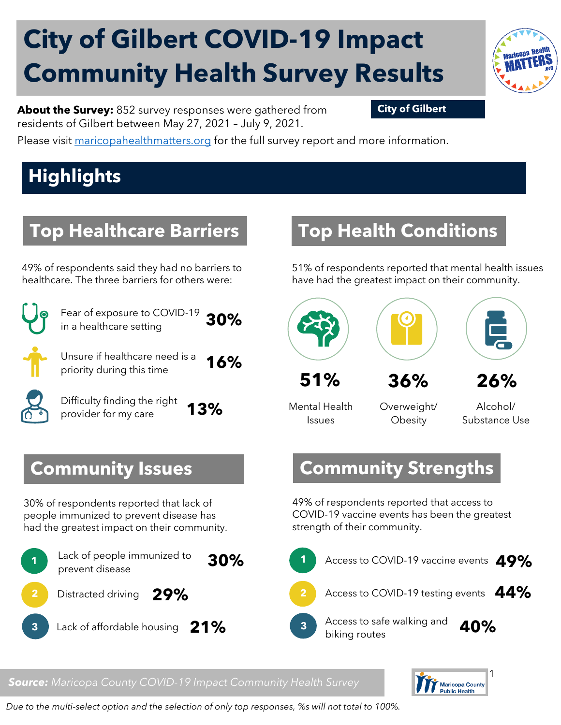# **City of Gilbert COVID-19 Impact Community Health Survey Results**

**About the Survey:** 852 survey responses were gathered from **City of Gilbert** residents of Gilbert between May 27, 2021 – July 9, 2021.

Please visit [maricopahealthmatters.org](https://www.maricopa.gov/5100/Health-Data-Maricopa-Health-Matters) for the full survey report and more information.

## **Highlights**

#### **Top Healthcare Barriers**

49% of respondents said they had no barriers to healthcare. The three barriers for others were:



Fear of exposure to COVID-19 in a healthcare setting **30%**

Unsure if healthcare need is a priority during this time **16%**

Difficulty finding the right provider for my care **13%**

#### **Community Issues**

30% of respondents reported that lack of people immunized to prevent disease has had the greatest impact on their community.



#### **Top Health Conditions**

51% of respondents reported that mental health issues have had the greatest impact on their community.



Mental Health

Issues

Overweight/ **Obesity** 

Alcohol/ Substance Use

#### **Community Strengths**

49% of respondents reported that access to COVID-19 vaccine events has been the greatest strength of their community.



 $\mathbf{r}$ **Public Health** 

*Source: Maricopa County COVID-19 Impact Community Health Survey*

*Due to the multi-select option and the selection of only top responses, %s will not total to 100%.*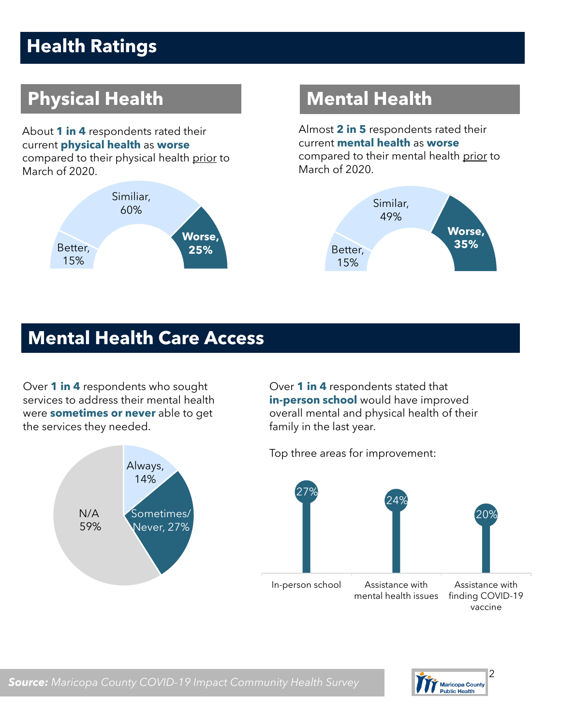## **Health Ratings**

## **Physical Health Mental Health**

About **1 in 4** respondents rated their current **physical health** as **worse** compared to their physical health prior to March of 2020.



Almost **2 in 5** respondents rated their current **mental health** as **worse** compared to their mental health prior to March of 2020.



#### **Mental Health Care Access**

Over **1 in 4** respondents who sought services to address their mental health were **sometimes or never** able to get the services they needed.



Over **1 in 4** respondents stated that **in-person school** would have improved overall mental and physical health of their family in the last year.

Top three areas for improvement:



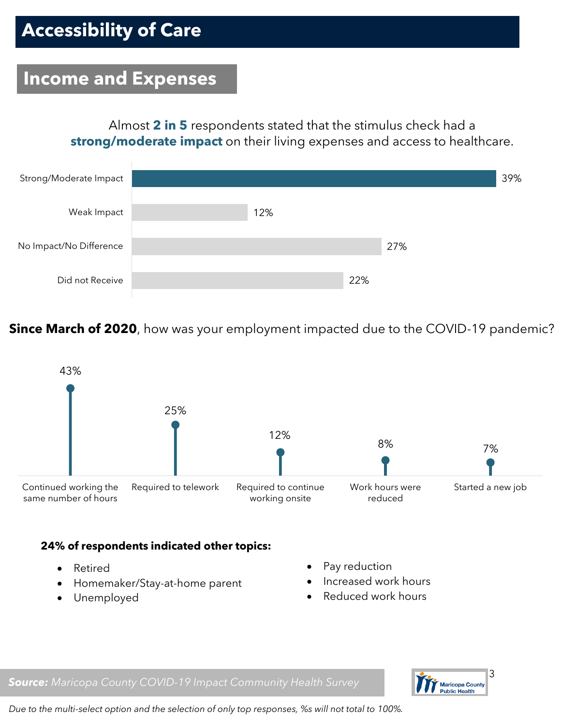#### **Income and Expenses**

Almost **2 in 5** respondents stated that the stimulus check had a **strong/moderate impact** on their living expenses and access to healthcare.



**Since March of 2020**, how was your employment impacted due to the COVID-19 pandemic?



#### **24% of respondents indicated other topics:**

- Retired
- Homemaker/Stay-at-home parent
- Unemployed
- Pay reduction
- Increased work hours
- Reduced work hours





*Due to the multi-select option and the selection of only top responses, %s will not total to 100%.*